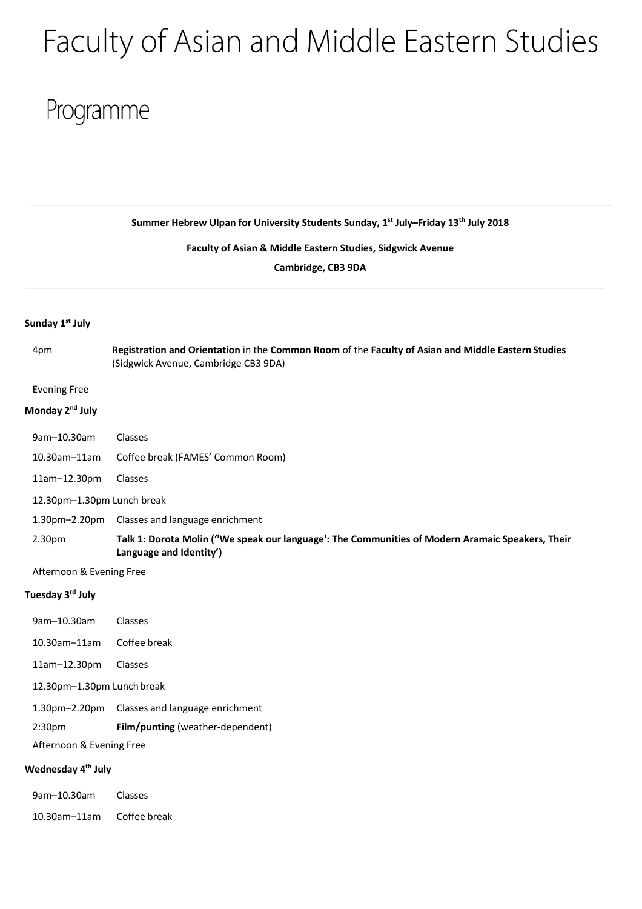# Faculty of Asian and Middle Eastern Studies

## Programme

**Summer Hebrew Ulpan for University Students Sunday, 1st July–Friday 13th July 2018** 

**Faculty of Asian & Middle Eastern Studies, Sidgwick Avenue**

**Cambridge, CB3 9DA**

### **Sunday 1st July**

4pm **Registration and Orientation** in the **Common Room** of the **Faculty of Asian and Middle Eastern Studies** (Sidgwick Avenue, Cambridge CB3 9DA)

#### Evening Free

## **Monday 2nd July**

| 9am-10.30am  | <b>Classes</b>                    |
|--------------|-----------------------------------|
| 10.30am-11am | Coffee break (FAMES' Common Room) |

- 11am–12.30pm Classes
- 12.30pm–1.30pm Lunch break
- 1.30pm–2.20pm Classes and language enrichment
- 2.30pm **Talk 1: Dorota Molin (''We speak our language': The Communities of Modern Aramaic Speakers, Their Language and Identity')**
- Afternoon & Evening Free

#### **Tuesday 3rd July**

| 9am-10.30am                | Classes                                       |
|----------------------------|-----------------------------------------------|
| 10.30am-11am               | Coffee break                                  |
| 11am-12.30pm               | Classes                                       |
| 12.30pm-1.30pm Lunch break |                                               |
|                            | 1.30pm-2.20pm Classes and language enrichment |
| 2:30 <sub>pm</sub>         | <b>Film/punting</b> (weather-dependent)       |
| Afternoon & Evening Free   |                                               |
|                            |                                               |

## **Wednesday 4th July**

| 9am-10.30am         | Classes      |
|---------------------|--------------|
| $10.30$ am $-11$ am | Coffee break |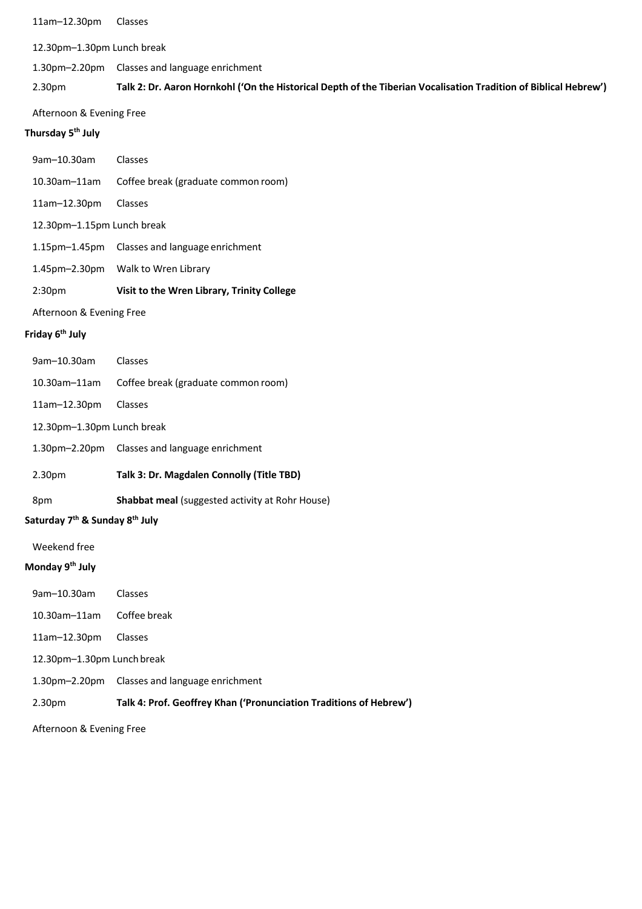11am–12.30pm Classes

12.30pm–1.30pm Lunch break

1.30pm–2.20pm Classes and language enrichment

## 2.30pm Talk 2: Dr. Aaron Hornkohl ('On the Historical Depth of the Tiberian Vocalisation Tradition of Biblical Hebrew')

Afternoon & Evening Free

## **Thursday 5th July**

|                             | Saturday 7 <sup>th</sup> & Sunday 8 <sup>th</sup> July |                                                 |  |
|-----------------------------|--------------------------------------------------------|-------------------------------------------------|--|
|                             | 8pm                                                    | Shabbat meal (suggested activity at Rohr House) |  |
|                             | 2.30pm                                                 | Talk 3: Dr. Magdalen Connolly (Title TBD)       |  |
|                             | 1.30pm–2.20pm                                          | Classes and language enrichment                 |  |
|                             | 12.30pm-1.30pm Lunch break                             |                                                 |  |
|                             | 11am-12.30pm                                           | Classes                                         |  |
|                             | 10.30am-11am                                           | Coffee break (graduate common room)             |  |
|                             | 9am-10.30am                                            | Classes                                         |  |
| Friday 6 <sup>th</sup> July |                                                        |                                                 |  |
|                             | Afternoon & Evening Free                               |                                                 |  |
|                             | 2:30pm                                                 | Visit to the Wren Library, Trinity College      |  |
|                             | 1.45pm–2.30pm                                          | Walk to Wren Library                            |  |
|                             | 1.15pm-1.45pm                                          | Classes and language enrichment                 |  |
|                             | 12.30pm-1.15pm Lunch break                             |                                                 |  |
|                             | 11am-12.30pm                                           | Classes                                         |  |
|                             | 10.30am-11am                                           | Coffee break (graduate common room)             |  |
|                             | 9am-10.30am                                            | Classes                                         |  |
|                             |                                                        |                                                 |  |

Weekend free

## **Monday 9th July**

| 2.30 <sub>pm</sub>         | Talk 4: Prof. Geoffrey Khan ('Pronunciation Traditions of Hebrew') |
|----------------------------|--------------------------------------------------------------------|
| $1.30$ pm $-2.20$ pm       | Classes and language enrichment                                    |
| 12.30pm-1.30pm Lunch break |                                                                    |
| $11am - 12.30pm$           | <b>Classes</b>                                                     |
| $10.30$ am $-11$ am        | Coffee break                                                       |
| $9am-10.30am$              | Classes                                                            |

Afternoon & Evening Free